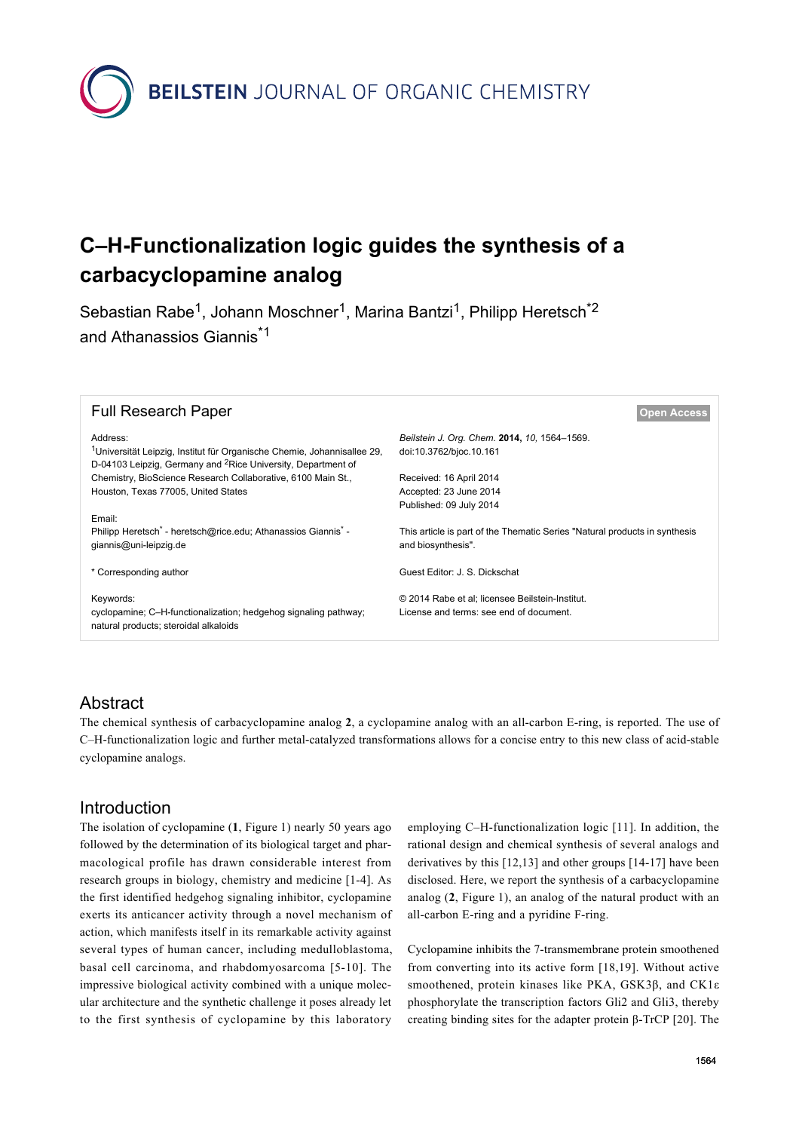

# **C–H-Functionalization logic guides the synthesis of a carbacyclopamine analog**

Sebastian Rabe<sup>1</sup>, Johann Moschner<sup>1</sup>, Marina Bantzi<sup>1</sup>, Philipp Heretsch<sup>\*2</sup> and Athanassios Giannis<sup>\*1</sup>

| <b>Full Research Paper</b>                                                            | <b>Open Access</b>                                                         |
|---------------------------------------------------------------------------------------|----------------------------------------------------------------------------|
| Address:                                                                              | Beilstein J. Org. Chem. 2014, 10, 1564-1569.                               |
| <sup>1</sup> Universität Leipzig, Institut für Organische Chemie, Johannisallee 29,   | doi:10.3762/bjoc.10.161                                                    |
| D-04103 Leipzig, Germany and <sup>2</sup> Rice University, Department of              |                                                                            |
| Chemistry, BioScience Research Collaborative, 6100 Main St.,                          | Received: 16 April 2014                                                    |
| Houston, Texas 77005, United States                                                   | Accepted: 23 June 2014                                                     |
|                                                                                       | Published: 09 July 2014                                                    |
| Email:                                                                                |                                                                            |
| Philipp Heretsch <sup>*</sup> - heretsch@rice.edu; Athanassios Giannis <sup>*</sup> - | This article is part of the Thematic Series "Natural products in synthesis |
| giannis@uni-leipzig.de                                                                | and biosynthesis".                                                         |
|                                                                                       |                                                                            |
| * Corresponding author                                                                | Guest Editor: J. S. Dickschat                                              |
|                                                                                       |                                                                            |
| Keywords:                                                                             | © 2014 Rabe et al; licensee Beilstein-Institut.                            |
| cyclopamine; C-H-functionalization; hedgehog signaling pathway;                       | License and terms: see end of document.                                    |
| natural products; steroidal alkaloids                                                 |                                                                            |
|                                                                                       |                                                                            |

# Abstract

The chemical synthesis of carbacyclopamine analog **2**, a cyclopamine analog with an all-carbon E-ring, is reported. The use of C–H-functionalization logic and further metal-catalyzed transformations allows for a concise entry to this new class of acid-stable cyclopamine analogs.

## Introduction

The isolation of cyclopamine (**1**, [Figure 1](#page-1-0)) nearly 50 years ago followed by the determination of its biological target and pharmacological profile has drawn considerable interest from research groups in biology, chemistry and medicine [\[1-4\]](#page-3-0). As the first identified hedgehog signaling inhibitor, cyclopamine exerts its anticancer activity through a novel mechanism of action, which manifests itself in its remarkable activity against several types of human cancer, including medulloblastoma, basal cell carcinoma, and rhabdomyosarcoma [\[5-10\]](#page-3-1). The impressive biological activity combined with a unique molecular architecture and the synthetic challenge it poses already let to the first synthesis of cyclopamine by this laboratory

employing C–H-functionalization logic [\[11\].](#page-4-0) In addition, the rational design and chemical synthesis of several analogs and derivatives by this [\[12,13\]](#page-4-1) and other groups [\[14-17\]](#page-4-2) have been disclosed. Here, we report the synthesis of a carbacyclopamine analog (**2**, [Figure 1](#page-1-0)), an analog of the natural product with an all-carbon E-ring and a pyridine F-ring.

Cyclopamine inhibits the 7-transmembrane protein smoothened from converting into its active form [\[18,19\]](#page-4-3). Without active smoothened, protein kinases like PKA, GSK3β, and CK1ε phosphorylate the transcription factors Gli2 and Gli3, thereby creating binding sites for the adapter protein β-TrCP [\[20\]](#page-4-4). The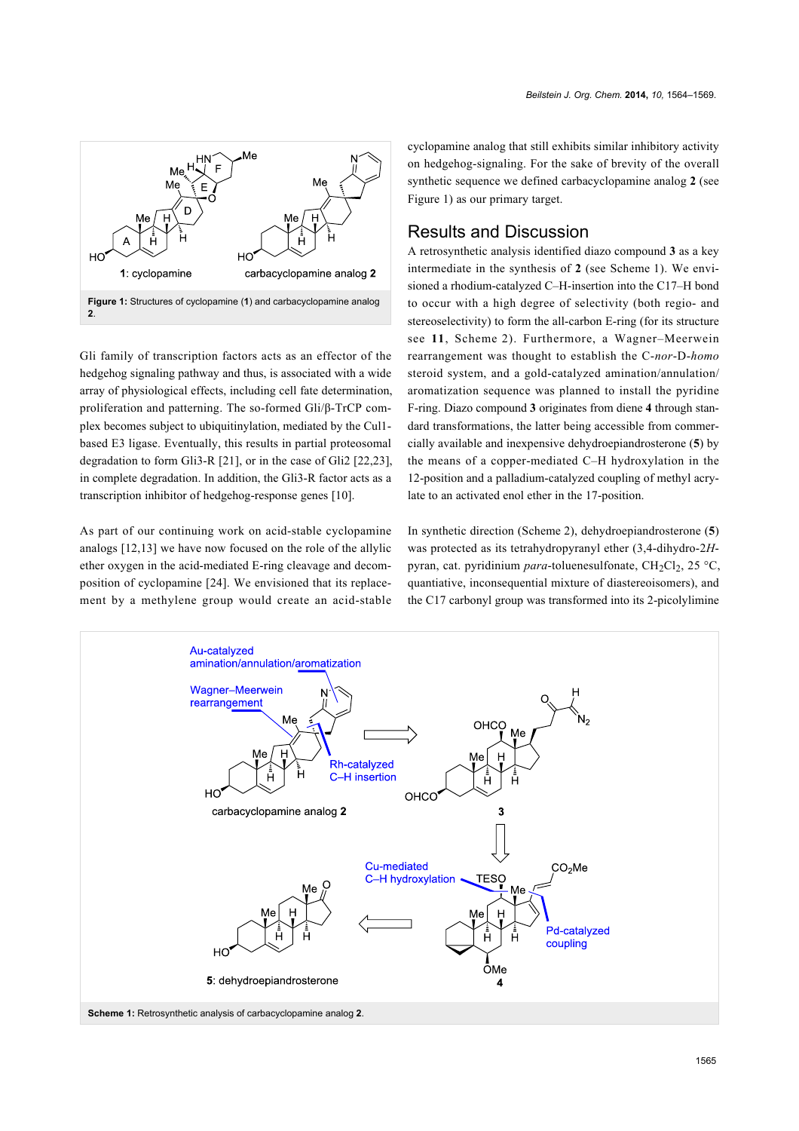<span id="page-1-0"></span>

Gli family of transcription factors acts as an effector of the hedgehog signaling pathway and thus, is associated with a wide array of physiological effects, including cell fate determination, proliferation and patterning. The so-formed Gli/β-TrCP complex becomes subject to ubiquitinylation, mediated by the Cul1 based E3 ligase. Eventually, this results in partial proteosomal degradation to form Gli3-R [\[21\]](#page-4-5), or in the case of Gli2 [\[22,23\]](#page-4-6), in complete degradation. In addition, the Gli3-R factor acts as a transcription inhibitor of hedgehog-response genes [\[10\]](#page-4-7).

As part of our continuing work on acid-stable cyclopamine analogs [\[12,13\]](#page-4-1) we have now focused on the role of the allylic ether oxygen in the acid-mediated E-ring cleavage and decomposition of cyclopamine [\[24\].](#page-4-8) We envisioned that its replacement by a methylene group would create an acid-stable cyclopamine analog that still exhibits similar inhibitory activity on hedgehog-signaling. For the sake of brevity of the overall synthetic sequence we defined carbacyclopamine analog **2** (see [Figure 1](#page-1-0)) as our primary target.

## Results and Discussion

A retrosynthetic analysis identified diazo compound **3** as a key intermediate in the synthesis of **2** (see [Scheme 1](#page-1-1)). We envisioned a rhodium-catalyzed C–H-insertion into the C17–H bond to occur with a high degree of selectivity (both regio- and stereoselectivity) to form the all-carbon E-ring (for its structure see **11**, [Scheme 2](#page-2-0)). Furthermore, a Wagner–Meerwein rearrangement was thought to establish the C-*nor*-D-*homo* steroid system, and a gold-catalyzed amination/annulation/ aromatization sequence was planned to install the pyridine F-ring. Diazo compound **3** originates from diene **4** through standard transformations, the latter being accessible from commercially available and inexpensive dehydroepiandrosterone (**5**) by the means of a copper-mediated C–H hydroxylation in the 12-position and a palladium-catalyzed coupling of methyl acrylate to an activated enol ether in the 17-position.

In synthetic direction ([Scheme 2\)](#page-2-0), dehydroepiandrosterone (**5**) was protected as its tetrahydropyranyl ether (3,4-dihydro-2*H*pyran, cat. pyridinium *para*-toluenesulfonate, CH<sub>2</sub>Cl<sub>2</sub>, 25 °C, quantiative, inconsequential mixture of diastereoisomers), and the C17 carbonyl group was transformed into its 2-picolylimine

<span id="page-1-1"></span>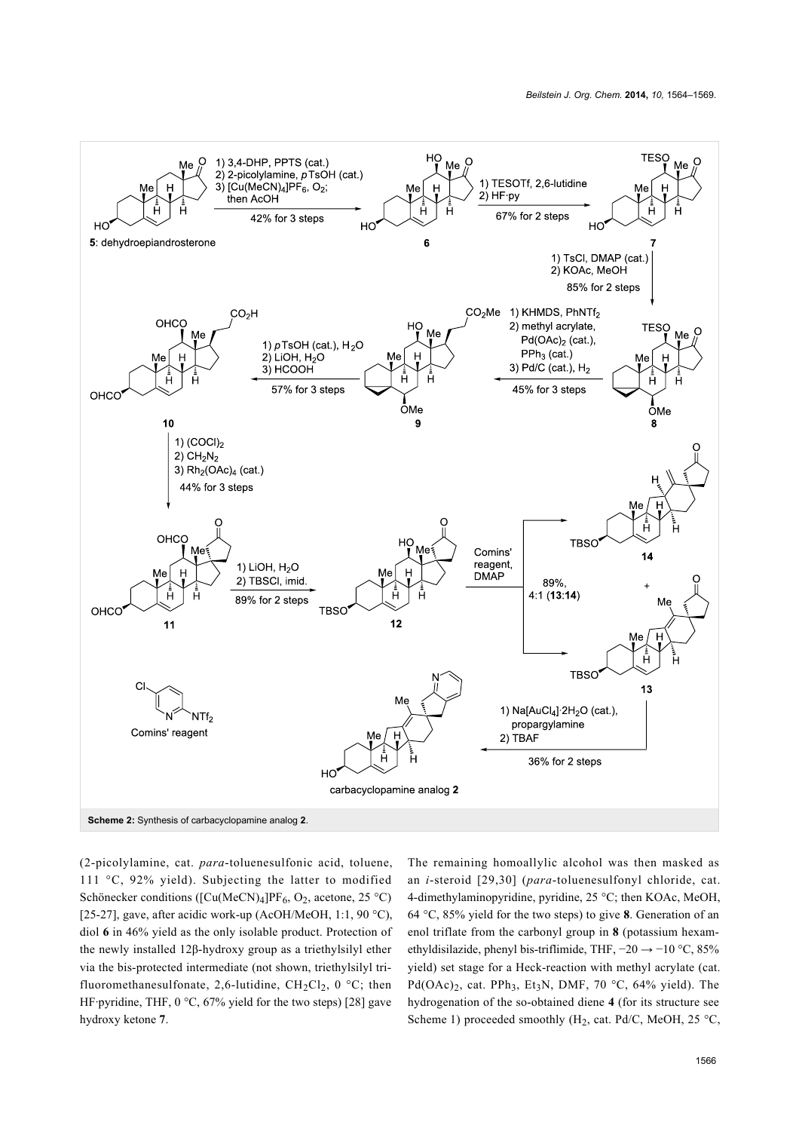<span id="page-2-0"></span>

(2-picolylamine, cat. *para*-toluenesulfonic acid, toluene, 111 °C, 92% yield). Subjecting the latter to modified Schönecker conditions ([Cu(MeCN)<sub>4</sub>]PF<sub>6</sub>, O<sub>2</sub>, acetone, 25 °C) [\[25-27\],](#page-4-9) gave, after acidic work-up (AcOH/MeOH, 1:1, 90  $^{\circ}$ C), diol **6** in 46% yield as the only isolable product. Protection of the newly installed 12β-hydroxy group as a triethylsilyl ether via the bis-protected intermediate (not shown, triethylsilyl trifluoromethanesulfonate, 2,6-lutidine,  $CH_2Cl_2$ , 0 °C; then HF·pyridine, THF,  $0 °C$ ,  $67%$  yield for the two steps) [\[28\]](#page-4-10) gave hydroxy ketone **7**.

The remaining homoallylic alcohol was then masked as an *i*-steroid [\[29,30\]](#page-4-11) (*para*-toluenesulfonyl chloride, cat. 4-dimethylaminopyridine, pyridine, 25 °C; then KOAc, MeOH, 64 °C, 85% yield for the two steps) to give **8**. Generation of an enol triflate from the carbonyl group in **8** (potassium hexamethyldisilazide, phenyl bis-triflimide, THF, −20 → −10 °C, 85% yield) set stage for a Heck-reaction with methyl acrylate (cat. Pd(OAc)<sub>2</sub>, cat. PPh<sub>3</sub>, Et<sub>3</sub>N, DMF, 70 °C, 64% yield). The hydrogenation of the so-obtained diene **4** (for its structure see [Scheme 1\)](#page-1-1) proceeded smoothly ( $H_2$ , cat. Pd/C, MeOH, 25 °C,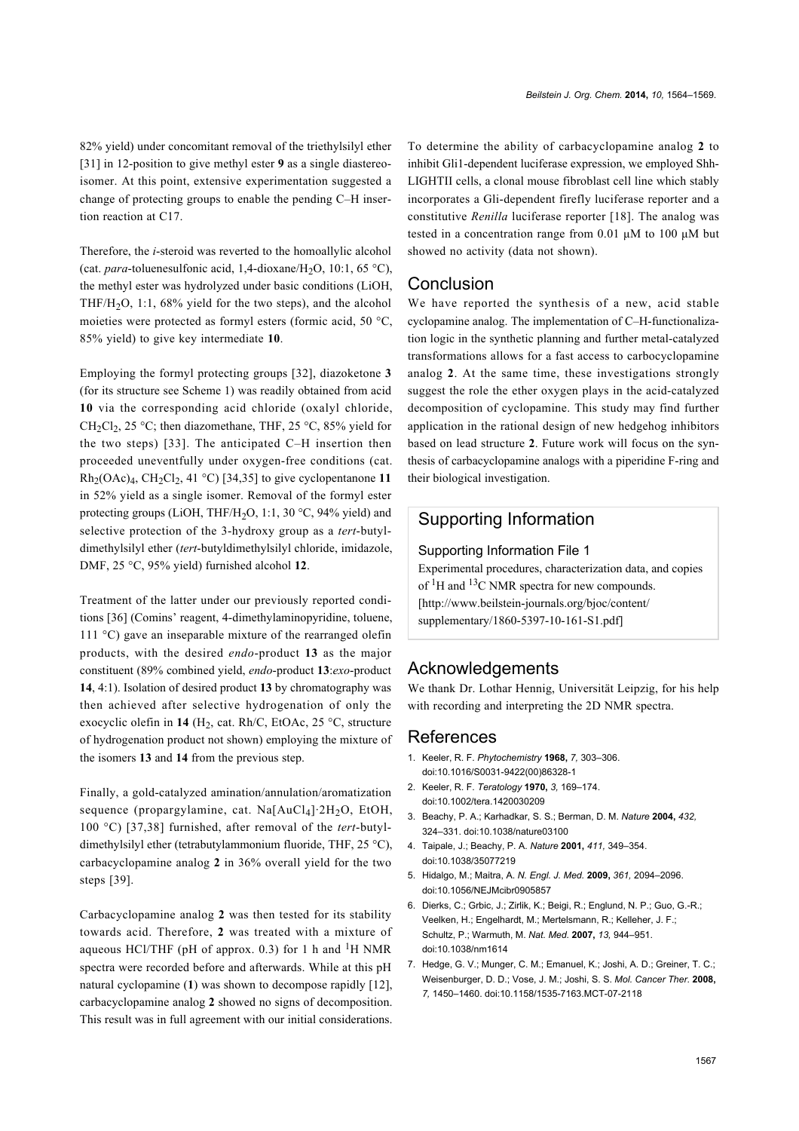82% yield) under concomitant removal of the triethylsilyl ether [\[31\]](#page-4-12) in 12-position to give methyl ester **9** as a single diastereoisomer. At this point, extensive experimentation suggested a change of protecting groups to enable the pending C–H insertion reaction at C17.

Therefore, the *i*-steroid was reverted to the homoallylic alcohol (cat. *para*-toluenesulfonic acid, 1,4-dioxane/H<sub>2</sub>O, 10:1, 65 °C), the methyl ester was hydrolyzed under basic conditions (LiOH, THF/H<sub>2</sub>O, 1:1, 68% yield for the two steps), and the alcohol moieties were protected as formyl esters (formic acid, 50 °C, 85% yield) to give key intermediate **10**.

Employing the formyl protecting groups [\[32\],](#page-4-13) diazoketone **3** (for its structure see [Scheme 1\)](#page-1-1) was readily obtained from acid **10** via the corresponding acid chloride (oxalyl chloride, CH<sub>2</sub>Cl<sub>2</sub>, 25 °C; then diazomethane, THF, 25 °C, 85% yield for the two steps) [\[33\]](#page-4-14). The anticipated C–H insertion then proceeded uneventfully under oxygen-free conditions (cat.  $Rh_2(OAc)_4$ ,  $CH_2Cl_2$ , 41 °C) [\[34,35\]](#page-4-15) to give cyclopentanone 11 in 52% yield as a single isomer. Removal of the formyl ester protecting groups (LiOH, THF/H<sub>2</sub>O, 1:1, 30  $^{\circ}$ C, 94% yield) and selective protection of the 3-hydroxy group as a *tert*-butyldimethylsilyl ether (*tert*-butyldimethylsilyl chloride, imidazole, DMF, 25 °C, 95% yield) furnished alcohol **12**.

Treatment of the latter under our previously reported conditions [\[36\]](#page-4-16) (Comins' reagent, 4-dimethylaminopyridine, toluene, 111 °C) gave an inseparable mixture of the rearranged olefin products, with the desired *endo*-product **13** as the major constituent (89% combined yield, *endo*-product **13**:*exo*-product **14**, 4:1). Isolation of desired product **13** by chromatography was then achieved after selective hydrogenation of only the exocyclic olefin in **14** (H<sub>2</sub>, cat. Rh/C, EtOAc, 25 °C, structure of hydrogenation product not shown) employing the mixture of the isomers **13** and **14** from the previous step.

Finally, a gold-catalyzed amination/annulation/aromatization sequence (propargylamine, cat. Na[AuCl<sub>4</sub>]·2H<sub>2</sub>O, EtOH, 100 °C) [\[37,38\]](#page-4-17) furnished, after removal of the *tert*-butyldimethylsilyl ether (tetrabutylammonium fluoride, THF, 25 °C), carbacyclopamine analog **2** in 36% overall yield for the two steps [\[39\]](#page-4-18).

Carbacyclopamine analog **2** was then tested for its stability towards acid. Therefore, **2** was treated with a mixture of aqueous HCl/THF (pH of approx. 0.3) for 1 h and  ${}^{1}$ H NMR spectra were recorded before and afterwards. While at this pH natural cyclopamine (**1**) was shown to decompose rapidly [\[12\]](#page-4-1), carbacyclopamine analog **2** showed no signs of decomposition. This result was in full agreement with our initial considerations. To determine the ability of carbacyclopamine analog **2** to inhibit Gli1-dependent luciferase expression, we employed Shh-LIGHTII cells, a clonal mouse fibroblast cell line which stably incorporates a Gli-dependent firefly luciferase reporter and a constitutive *Renilla* luciferase reporter [\[18\]](#page-4-3). The analog was tested in a concentration range from 0.01 μM to 100 μM but showed no activity (data not shown).

#### **Conclusion**

We have reported the synthesis of a new, acid stable cyclopamine analog. The implementation of C–H-functionalization logic in the synthetic planning and further metal-catalyzed transformations allows for a fast access to carbocyclopamine analog **2**. At the same time, these investigations strongly suggest the role the ether oxygen plays in the acid-catalyzed decomposition of cyclopamine. This study may find further application in the rational design of new hedgehog inhibitors based on lead structure **2**. Future work will focus on the synthesis of carbacyclopamine analogs with a piperidine F-ring and their biological investigation.

#### Supporting Information

#### <span id="page-3-2"></span>Supporting Information File 1

Experimental procedures, characterization data, and copies of  ${}^{1}$ H and  ${}^{13}$ C NMR spectra for new compounds. [\[http://www.beilstein-journals.org/bjoc/content/](http://www.beilstein-journals.org/bjoc/content/supplementary/1860-5397-10-161-S1.pdf) [supplementary/1860-5397-10-161-S1.pdf\]](http://www.beilstein-journals.org/bjoc/content/supplementary/1860-5397-10-161-S1.pdf)

#### Acknowledgements

We thank Dr. Lothar Hennig, Universität Leipzig, for his help with recording and interpreting the 2D NMR spectra.

#### References

- <span id="page-3-0"></span>1. Keeler, R. F. *Phytochemistry* **1968,** *7,* 303–306. [doi:10.1016/S0031-9422\(00\)86328-1](http://dx.doi.org/10.1016%2FS0031-9422%2800%2986328-1)
- 2. Keeler, R. F. *Teratology* **1970,** *3,* 169–174. [doi:10.1002/tera.1420030209](http://dx.doi.org/10.1002%2Ftera.1420030209)
- 3. Beachy, P. A.; Karhadkar, S. S.; Berman, D. M. *Nature* **2004,** *432,* 324–331. [doi:10.1038/nature03100](http://dx.doi.org/10.1038%2Fnature03100)
- 4. Taipale, J.; Beachy, P. A. *Nature* **2001,** *411,* 349–354. [doi:10.1038/35077219](http://dx.doi.org/10.1038%2F35077219)
- <span id="page-3-1"></span>5. Hidalgo, M.; Maitra, A. *N. Engl. J. Med.* **2009,** *361,* 2094–2096. [doi:10.1056/NEJMcibr0905857](http://dx.doi.org/10.1056%2FNEJMcibr0905857)
- 6. Dierks, C.; Grbic, J.; Zirlik, K.; Beigi, R.; Englund, N. P.; Guo, G.-R.; Veelken, H.; Engelhardt, M.; Mertelsmann, R.; Kelleher, J. F.; Schultz, P.; Warmuth, M. *Nat. Med.* **2007,** *13,* 944–951. [doi:10.1038/nm1614](http://dx.doi.org/10.1038%2Fnm1614)
- 7. Hedge, G. V.; Munger, C. M.; Emanuel, K.; Joshi, A. D.; Greiner, T. C.; Weisenburger, D. D.; Vose, J. M.; Joshi, S. S. *Mol. Cancer Ther.* **2008,** *7,* 1450–1460. [doi:10.1158/1535-7163.MCT-07-2118](http://dx.doi.org/10.1158%2F1535-7163.MCT-07-2118)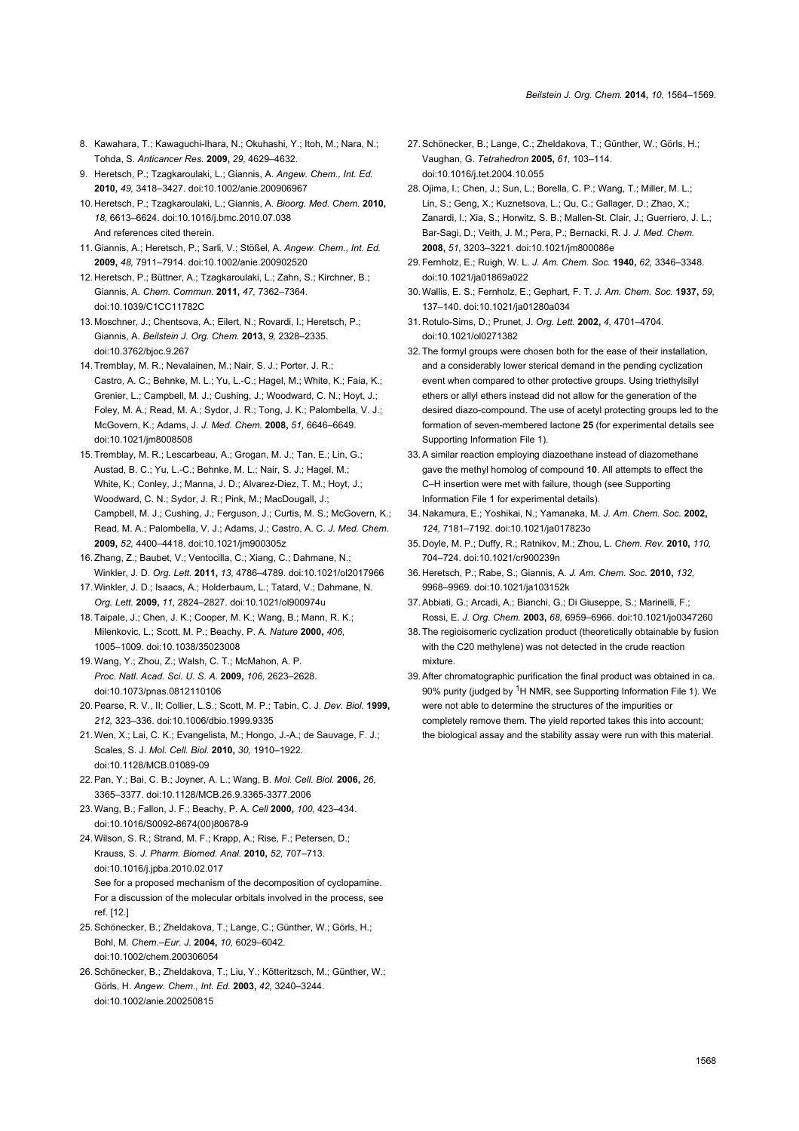- 8. Kawahara, T.; Kawaguchi-Ihara, N.; Okuhashi, Y.; Itoh, M.; Nara, N.; Tohda, S. *Anticancer Res.* **2009,** *29,* 4629–4632.
- 9. Heretsch, P.; Tzagkaroulaki, L.; Giannis, A. *Angew. Chem., Int. Ed.* **2010,** *49,* 3418–3427. [doi:10.1002/anie.200906967](http://dx.doi.org/10.1002%2Fanie.200906967)
- <span id="page-4-7"></span>10. Heretsch, P.; Tzagkaroulaki, L.; Giannis, A. *Bioorg. Med. Chem.* **2010,** *18,* 6613–6624. [doi:10.1016/j.bmc.2010.07.038](http://dx.doi.org/10.1016%2Fj.bmc.2010.07.038) And references cited therein.
- <span id="page-4-0"></span>11.Giannis, A.; Heretsch, P.; Sarli, V.; Stößel, A. *Angew. Chem., Int. Ed.* **2009,** *48,* 7911–7914. [doi:10.1002/anie.200902520](http://dx.doi.org/10.1002%2Fanie.200902520)
- <span id="page-4-1"></span>12. Heretsch, P.; Büttner, A.; Tzagkaroulaki, L.; Zahn, S.; Kirchner, B.; Giannis, A. *Chem. Commun.* **2011,** *47,* 7362–7364. [doi:10.1039/C1CC11782C](http://dx.doi.org/10.1039%2FC1CC11782C)
- 13. Moschner, J.; Chentsova, A.; Eilert, N.; Rovardi, J.; Heretsch, P.; Giannis, A. *Beilstein J. Org. Chem.* **2013,** *9,* 2328–2335. [doi:10.3762/bjoc.9.267](http://dx.doi.org/10.3762%2Fbjoc.9.267)
- <span id="page-4-2"></span>14.Tremblay, M. R.; Nevalainen, M.; Nair, S. J.; Porter, J. R.; Castro, A. C.; Behnke, M. L.; Yu, L.-C.; Hagel, M.; White, K.; Faia, K.; Grenier, L.; Campbell, M. J.; Cushing, J.; Woodward, C. N.; Hoyt, J.; Foley, M. A.; Read, M. A.; Sydor, J. R.; Tong, J. K.; Palombella, V. J.; McGovern, K.; Adams, J. *J. Med. Chem.* **2008,** *51,* 6646–6649. [doi:10.1021/jm8008508](http://dx.doi.org/10.1021%2Fjm8008508)
- 15.Tremblay, M. R.; Lescarbeau, A.; Grogan, M. J.; Tan, E.; Lin, G.; Austad, B. C.; Yu, L.-C.; Behnke, M. L.; Nair, S. J.; Hagel, M.; White, K.; Conley, J.; Manna, J. D.; Alvarez-Diez, T. M.; Hoyt, J.; Woodward, C. N.; Sydor, J. R.; Pink, M.; MacDougall, J.; Campbell, M. J.; Cushing, J.; Ferguson, J.; Curtis, M. S.; McGovern, K.; Read, M. A.; Palombella, V. J.; Adams, J.; Castro, A. C. *J. Med. Chem.* **2009,** *52,* 4400–4418. [doi:10.1021/jm900305z](http://dx.doi.org/10.1021%2Fjm900305z)
- 16.Zhang, Z.; Baubet, V.; Ventocilla, C.; Xiang, C.; Dahmane, N.; Winkler, J. D. *Org. Lett.* **2011,** *13,* 4786–4789. [doi:10.1021/ol2017966](http://dx.doi.org/10.1021%2Fol2017966)
- 17.Winkler, J. D.; Isaacs, A.; Holderbaum, L.; Tatard, V.; Dahmane, N. *Org. Lett.* **2009,** *11,* 2824–2827. [doi:10.1021/ol900974u](http://dx.doi.org/10.1021%2Fol900974u)
- <span id="page-4-3"></span>18.Taipale, J.; Chen, J. K.; Cooper, M. K.; Wang, B.; Mann, R. K.; Milenkovic, L.; Scott, M. P.; Beachy, P. A. *Nature* **2000,** *406,* 1005–1009. [doi:10.1038/35023008](http://dx.doi.org/10.1038%2F35023008)
- 19.Wang, Y.; Zhou, Z.; Walsh, C. T.; McMahon, A. P. *Proc. Natl. Acad. Sci. U. S. A.* **2009,** *106,* 2623–2628. [doi:10.1073/pnas.0812110106](http://dx.doi.org/10.1073%2Fpnas.0812110106)
- <span id="page-4-4"></span>20.Pearse, R. V., II; Collier, L.S.; Scott, M. P.; Tabin, C. J. *Dev. Biol.* **1999,** *212,* 323–336. [doi:10.1006/dbio.1999.9335](http://dx.doi.org/10.1006%2Fdbio.1999.9335)
- <span id="page-4-5"></span>21.Wen, X.; Lai, C. K.; Evangelista, M.; Hongo, J.-A.; de Sauvage, F. J.; Scales, S. J. *Mol. Cell. Biol.* **2010,** *30,* 1910–1922. [doi:10.1128/MCB.01089-09](http://dx.doi.org/10.1128%2FMCB.01089-09)
- <span id="page-4-6"></span>22.Pan, Y.; Bai, C. B.; Joyner, A. L.; Wang, B. *Mol. Cell. Biol.* **2006,** *26,* 3365–3377. [doi:10.1128/MCB.26.9.3365-3377.2006](http://dx.doi.org/10.1128%2FMCB.26.9.3365-3377.2006)
- 23.Wang, B.; Fallon, J. F.; Beachy, P. A. *Cell* **2000,** *100,* 423–434. [doi:10.1016/S0092-8674\(00\)80678-9](http://dx.doi.org/10.1016%2FS0092-8674%2800%2980678-9)
- <span id="page-4-8"></span>24.Wilson, S. R.; Strand, M. F.; Krapp, A.; Rise, F.; Petersen, D.; Krauss, S. *J. Pharm. Biomed. Anal.* **2010,** *52,* 707–713. [doi:10.1016/j.jpba.2010.02.017](http://dx.doi.org/10.1016%2Fj.jpba.2010.02.017) See for a proposed mechanism of the decomposition of cyclopamine. For a discussion of the molecular orbitals involved in the process, see ref. [12.]
- <span id="page-4-9"></span>25.Schönecker, B.; Zheldakova, T.; Lange, C.; Günther, W.; Görls, H.; Bohl, M. *Chem.–Eur. J.* **2004,** *10,* 6029–6042. [doi:10.1002/chem.200306054](http://dx.doi.org/10.1002%2Fchem.200306054)
- 26.Schönecker, B.; Zheldakova, T.; Liu, Y.; Kötteritzsch, M.; Günther, W.; Görls, H. *Angew. Chem., Int. Ed.* **2003,** *42,* 3240–3244. [doi:10.1002/anie.200250815](http://dx.doi.org/10.1002%2Fanie.200250815)
- 27. Schönecker, B.; Lange, C.; Zheldakova, T.; Günther, W.; Görls, H.; Vaughan, G. *Tetrahedron* **2005,** *61,* 103–114. [doi:10.1016/j.tet.2004.10.055](http://dx.doi.org/10.1016%2Fj.tet.2004.10.055)
- <span id="page-4-10"></span>28.Ojima, I.; Chen, J.; Sun, L.; Borella, C. P.; Wang, T.; Miller, M. L.; Lin, S.; Geng, X.; Kuznetsova, L.; Qu, C.; Gallager, D.; Zhao, X.; Zanardi, I.; Xia, S.; Horwitz, S. B.; Mallen-St. Clair, J.; Guerriero, J. L.; Bar-Sagi, D.; Veith, J. M.; Pera, P.; Bernacki, R. J. *J. Med. Chem.* **2008,** *51,* 3203–3221. [doi:10.1021/jm800086e](http://dx.doi.org/10.1021%2Fjm800086e)
- <span id="page-4-11"></span>29.Fernholz, E.; Ruigh, W. L. *J. Am. Chem. Soc.* **1940,** *62,* 3346–3348. [doi:10.1021/ja01869a022](http://dx.doi.org/10.1021%2Fja01869a022)
- 30.Wallis, E. S.; Fernholz, E.; Gephart, F. T. *J. Am. Chem. Soc.* **1937,** *59,* 137–140. [doi:10.1021/ja01280a034](http://dx.doi.org/10.1021%2Fja01280a034)
- <span id="page-4-12"></span>31. Rotulo-Sims, D.; Prunet, J. *Org. Lett.* **2002,** *4,* 4701–4704. [doi:10.1021/ol0271382](http://dx.doi.org/10.1021%2Fol0271382)
- <span id="page-4-13"></span>32.The formyl groups were chosen both for the ease of their installation, and a considerably lower sterical demand in the pending cyclization event when compared to other protective groups. Using triethylsilyl ethers or allyl ethers instead did not allow for the generation of the desired diazo-compound. The use of acetyl protecting groups led to the formation of seven-membered lactone **25** (for experimental details see [Supporting Information File 1](#page-3-2)).
- <span id="page-4-14"></span>33.A similar reaction employing diazoethane instead of diazomethane gave the methyl homolog of compound **10**. All attempts to effect the C–H insertion were met with failure, though (see [Supporting](#page-3-2) [Information File 1](#page-3-2) for experimental details).
- <span id="page-4-15"></span>34. Nakamura, E.; Yoshikai, N.; Yamanaka, M. *J. Am. Chem. Soc.* **2002,** *124,* 7181–7192. [doi:10.1021/ja017823o](http://dx.doi.org/10.1021%2Fja017823o)
- 35. Doyle, M. P.; Duffy, R.; Ratnikov, M.; Zhou, L. *Chem. Rev.* **2010,** *110,* 704–724. [doi:10.1021/cr900239n](http://dx.doi.org/10.1021%2Fcr900239n)
- <span id="page-4-16"></span>36. Heretsch, P.; Rabe, S.; Giannis, A. *J. Am. Chem. Soc.* **2010,** *132,* 9968–9969. [doi:10.1021/ja103152k](http://dx.doi.org/10.1021%2Fja103152k)
- <span id="page-4-17"></span>37.Abbiati, G.; Arcadi, A.; Bianchi, G.; Di Giuseppe, S.; Marinelli, F.; Rossi, E. *J. Org. Chem.* **2003,** *68,* 6959–6966. [doi:10.1021/jo0347260](http://dx.doi.org/10.1021%2Fjo0347260)
- 38.The regioisomeric cyclization product (theoretically obtainable by fusion with the C20 methylene) was not detected in the crude reaction mixture.
- <span id="page-4-18"></span>39.After chromatographic purification the final product was obtained in ca. 90% purity (judged by <sup>1</sup>H NMR, see [Supporting Information File 1\)](#page-3-2). We were not able to determine the structures of the impurities or completely remove them. The yield reported takes this into account; the biological assay and the stability assay were run with this material.